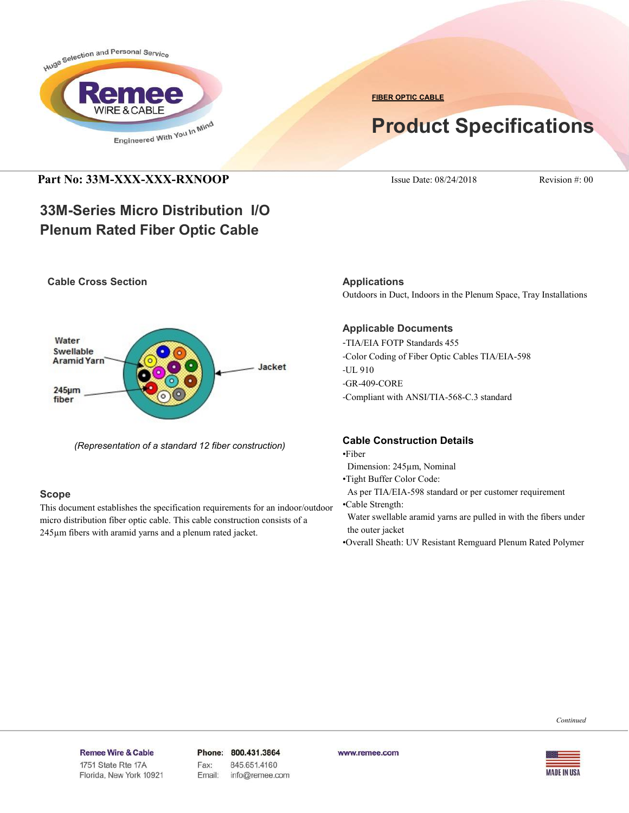

**FIBER OPTIC CABLE**

# **Product Specifications**

### **Part No: 33M-XXX-XXX-RXNOOP** ISSUE Date: 08/24/2018 Revision #: 00

## **33M-Series Micro Distribution I/O Plenum Rated Fiber Optic Cable**

### **Cable Cross Section**



*(Representation of a standard 12 fiber construction)*

### **Scope**

This document establishes the specification requirements for an indoor/outdoor micro distribution fiber optic cable. This cable construction consists of a 245µm fibers with aramid yarns and a plenum rated jacket.

**Applications** Outdoors in Duct, Indoors in the Plenum Space, Tray Installations

### **Applicable Documents**

-TIA/EIA FOTP Standards 455 -Color Coding of Fiber Optic Cables TIA/EIA-598 -UL 910 -GR-409-CORE -Compliant with ANSI/TIA-568-C.3 standard

### **Cable Construction Details**

•Fiber

- Dimension: 245µm, Nominal
- •Tight Buffer Color Code:
- As per TIA/EIA-598 standard or per customer requirement
- •Cable Strength:

 Water swellable aramid yarns are pulled in with the fibers under the outer jacket

•Overall Sheath: UV Resistant Remguard Plenum Rated Polymer

*Continued*

#### Remee Wire & Cable Issue No.: 05

Florida, New York 10921

Phone: 800.431.3864 Fax: 845.651.4160 Email: info@remee.com www.remee.com

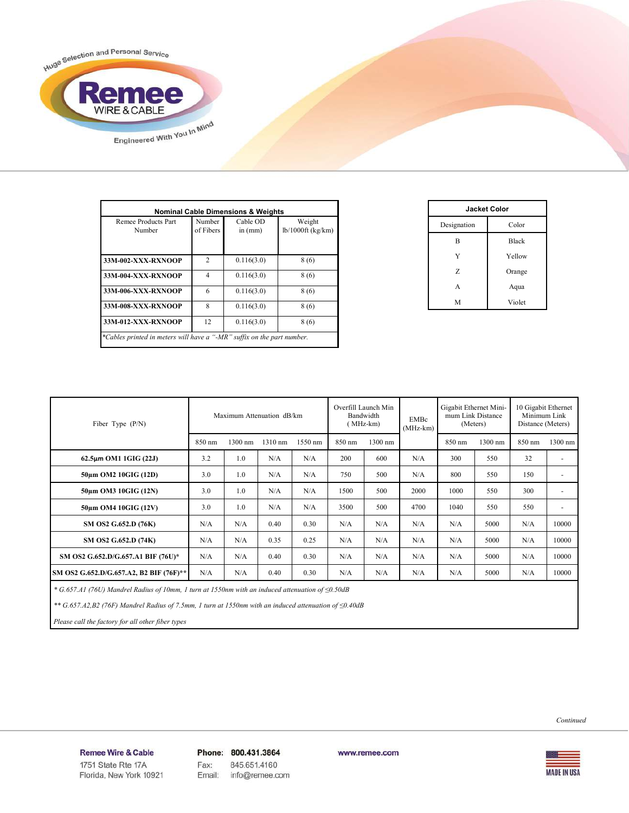

| Remee Products Part<br>Number | Number<br>of Fibers         | Cable OD<br>in $(mm)$ | Weight<br>$lb/1000ft$ (kg/km) |
|-------------------------------|-----------------------------|-----------------------|-------------------------------|
| 33M-002-XXX-RXNOOP            | $\mathcal{D}_{\mathcal{A}}$ | 0.116(3.0)            | 8(6)                          |
| 33M-004-XXX-RXNOOP            | 4                           | 0.116(3.0)            | 8(6)                          |
| 33M-006-XXX-RXNOOP            | 6                           | 0.116(3.0)            | 8(6)                          |
| 33M-008-XXX-RXNOOP            | 8                           | 0.116(3.0)            | 8(6)                          |
| 33M-012-XXX-RXNOOP            | 12                          | 0.116(3.0)            | 8(6)                          |

| <b>Jacket Color</b> |              |  |  |  |
|---------------------|--------------|--|--|--|
| Designation         | Color        |  |  |  |
| B                   | <b>Black</b> |  |  |  |
| Y                   | Yellow       |  |  |  |
| Z                   | Orange       |  |  |  |
| A                   | Aqua         |  |  |  |
| M                   | Violet       |  |  |  |

| Fiber Type $(P/N)$                      | Maximum Attenuation dB/km |         |         |         | Overfill Launch Min<br>Bandwidth<br><b>EMBc</b><br>MHz-km)<br>$(MHz-km)$ |         | Gigabit Ethernet Mini-<br>mum Link Distance<br>(Meters) |        | 10 Gigabit Ethernet<br>Minimum Link<br>Distance (Meters) |        |                          |
|-----------------------------------------|---------------------------|---------|---------|---------|--------------------------------------------------------------------------|---------|---------------------------------------------------------|--------|----------------------------------------------------------|--------|--------------------------|
|                                         | 850 nm                    | 1300 nm | 1310 nm | 1550 nm | 850 nm                                                                   | 1300 nm |                                                         | 850 nm | 1300 nm                                                  | 850 nm | $1300$ nm                |
| $62.5\mu m$ OM1 1GIG (22J)              | 3.2                       | 1.0     | N/A     | N/A     | 200                                                                      | 600     | N/A                                                     | 300    | 550                                                      | 32     | $\overline{a}$           |
| 50um OM2 10GIG (12D)                    | 3.0                       | 1.0     | N/A     | N/A     | 750                                                                      | 500     | N/A                                                     | 800    | 550                                                      | 150    | ٠                        |
| 50um OM3 10GIG (12N)                    | 3.0                       | 1.0     | N/A     | N/A     | 1500                                                                     | 500     | 2000                                                    | 1000   | 550                                                      | 300    | ٠                        |
| 50um OM4 10GIG (12V)                    | 3.0                       | 1.0     | N/A     | N/A     | 3500                                                                     | 500     | 4700                                                    | 1040   | 550                                                      | 550    | $\overline{\phantom{a}}$ |
| SM OS2 G.652.D (76K)                    | N/A                       | N/A     | 0.40    | 0.30    | N/A                                                                      | N/A     | N/A                                                     | N/A    | 5000                                                     | N/A    | 10000                    |
| SM OS2 G.652.D (74K)                    | N/A                       | N/A     | 0.35    | 0.25    | N/A                                                                      | N/A     | N/A                                                     | N/A    | 5000                                                     | N/A    | 10000                    |
| SM OS2 G.652.D/G.657.A1 BIF (76U)*      | N/A                       | N/A     | 0.40    | 0.30    | N/A                                                                      | N/A     | N/A                                                     | N/A    | 5000                                                     | N/A    | 10000                    |
| SM OS2 G.652.D/G.657.A2, B2 BIF (76F)** | N/A                       | N/A     | 0.40    | 0.30    | N/A                                                                      | N/A     | N/A                                                     | N/A    | 5000                                                     | N/A    | 10000                    |

 *\* G.657.A1 (76U) Mandrel Radius of 10mm, 1 turn at 1550nm with an induced attenuation of ≤0.50dB*

 *\*\* G.657.A2,B2 (76F) Mandrel Radius of 7.5mm, 1 turn at 1550nm with an induced attenuation of ≤0.40dB*

 *Please call the factory for all other fiber types*



#### Remee Wire & Cable Issue No.: 05

Florida, New York 10921

Phone: 800.431.3864 Fax: 845.651.4160 Email: info@remee.com

www.remee.com

**MADE IN USA**